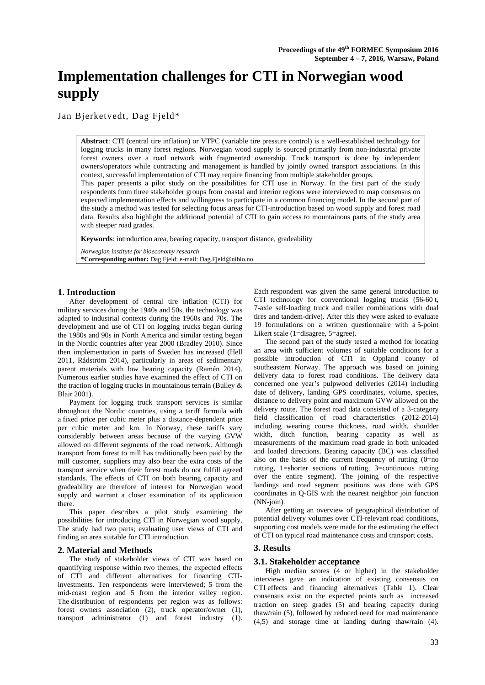# **Implementation challenges for CTI in Norwegian wood supply**

Jan Bjerketvedt, Dag Fjeld\*

**Abstract**: CTI (central tire inflation) or VTPC (variable tire pressure control) is a well-established technology for logging trucks in many forest regions. Norwegian wood supply is sourced primarily from non-industrial private forest owners over a road network with fragmented ownership. Truck transport is done by independent owners/operators while contracting and management is handled by jointly owned transport associations. In this context, successful implementation of CTI may require financing from multiple stakeholder groups.

This paper presents a pilot study on the possibilities for CTI use in Norway. In the first part of the study respondents from three stakeholder groups from coastal and interior regions were interviewed to map consensus on expected implementation effects and willingness to participate in a common financing model. In the second part of the study a method was tested for selecting focus areas for CTI-introduction based on wood supply and forest road data. Results also highlight the additional potential of CTI to gain access to mountainous parts of the study area with steeper road grades.

**Keywords**: introduction area, bearing capacity, transport distance, gradeability

*Norwegian institute for bioeconomy research*  **\*Corresponding author:** Dag Fjeld; e-mail: Dag.Fjeld@nibio.no

# **1. Introduction**

After development of central tire inflation (CTI) for military services during the 1940s and 50s, the technology was adapted to industrial contexts during the 1960s and 70s. The development and use of CTI on logging trucks began during the 1980s and 90s in North America and similar testing began in the Nordic countries after year 2000 (Bradley 2010). Since then implementation in parts of Sweden has increased (Hell 2011, Rådström 2014), particularly in areas of sedimentary parent materials with low bearing capacity (Ramén 2014). Numerous earlier studies have examined the effect of CTI on the traction of logging trucks in mountainous terrain (Bulley  $\&$ Blair 2001).

Payment for logging truck transport services is similar throughout the Nordic countries, using a tariff formula with a fixed price per cubic meter plus a distance-dependent price per cubic meter and km. In Norway, these tariffs vary considerably between areas because of the varying GVW allowed on different segments of the road network. Although transport from forest to mill has traditionally been paid by the mill customer, suppliers may also bear the extra costs of the transport service when their forest roads do not fulfill agreed standards. The effects of CTI on both bearing capacity and gradeability are therefore of interest for Norwegian wood supply and warrant a closer examination of its application there.

This paper describes a pilot study examining the possibilities for introducing CTI in Norwegian wood supply. The study had two parts; evaluating user views of CTI and finding an area suitable for CTI introduction.

### **2. Material and Methods**

The study of stakeholder views of CTI was based on quantifying response within two themes; the expected effects of CTI and different alternatives for financing CTIinvestments. Ten respondents were interviewed; 5 from the mid-coast region and 5 from the interior valley region. The distribution of respondents per region was as follows: forest owners association (2), truck operator/owner (1), transport administrator (1) and forest industry (1).

Each respondent was given the same general introduction to CTI technology for conventional logging trucks (56-60 t, 7-axle self-loading truck and trailer combinations with dual tires and tandem-drive). After this they were asked to evaluate 19 formulations on a written questionnaire with a 5-point Likert scale (1=disagree, 5=agree).

The second part of the study tested a method for locating an area with sufficient volumes of suitable conditions for a possible introduction of CTI in Oppland county of southeastern Norway. The approach was based on joining delivery data to forest road conditions. The delivery data concerned one year's pulpwood deliveries (2014) including date of delivery, landing GPS coordinates, volume, species, distance to delivery point and maximum GVW allowed on the delivery route. The forest road data consisted of a 3-category field classification of road characteristics (2012-2014) including wearing course thickness, road width, shoulder width, ditch function, bearing capacity as well as measurements of the maximum road grade in both unloaded and loaded directions. Bearing capacity (BC) was classified also on the basis of the current frequency of rutting  $(0=$ no rutting, 1=shorter sections of rutting, 3=continuous rutting over the entire segment). The joining of the respective landings and road segment positions was done with GPS coordinates in Q-GIS with the nearest neighbor join function (NN-join).

After getting an overview of geographical distribution of potential delivery volumes over CTI-relevant road conditions, supporting cost models were made for the estimating the effect of CTI on typical road maintenance costs and transport costs.

# **3. Results**

### **3.1. Stakeholder acceptance**

High median scores (4 or higher) in the stakeholder interviews gave an indication of existing consensus on CTI effects and financing alternatives (Table 1). Clear consensus exist on the expected points such as increased traction on steep grades (5) and bearing capacity during thaw/rain (5), followed by reduced need for road maintenance (4,5) and storage time at landing during thaw/rain (4).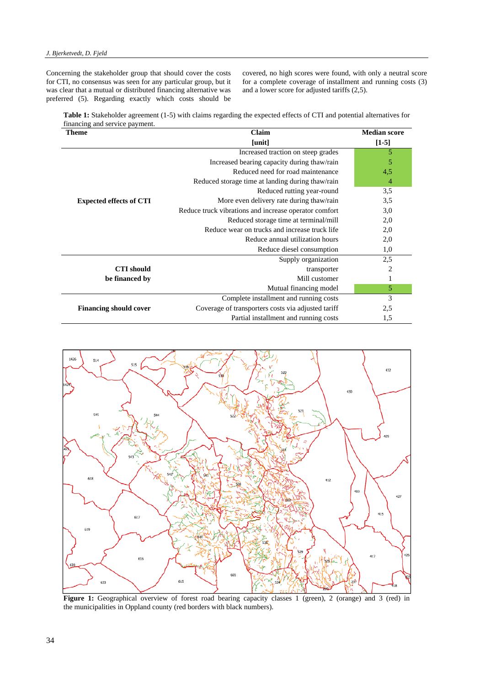Concerning the stakeholder group that should cover the costs for CTI, no consensus was seen for any particular group, but it was clear that a mutual or distributed financing alternative was preferred (5). Regarding exactly which costs should be covered, no high scores were found, with only a neutral score for a complete coverage of installment and running costs (3) and a lower score for adjusted tariffs (2,5).

**Table 1:** Stakeholder agreement (1-5) with claims regarding the expected effects of CTI and potential alternatives for financing and service payment.

| <b>Theme</b>                   | Claim                                                 | <b>Median score</b> |
|--------------------------------|-------------------------------------------------------|---------------------|
|                                | [unit]                                                | $[1-5]$             |
| <b>Expected effects of CTI</b> | Increased traction on steep grades                    | 5                   |
|                                | Increased bearing capacity during thaw/rain           | 5                   |
|                                | Reduced need for road maintenance                     | 4,5                 |
|                                | Reduced storage time at landing during thaw/rain      | 4                   |
|                                | Reduced rutting year-round                            | 3,5                 |
|                                | More even delivery rate during thaw/rain              | 3,5                 |
|                                | Reduce truck vibrations and increase operator comfort | 3,0                 |
|                                | Reduced storage time at terminal/mill                 | 2,0                 |
|                                | Reduce wear on trucks and increase truck life         | 2,0                 |
|                                | Reduce annual utilization hours                       | 2,0                 |
|                                | Reduce diesel consumption                             | 1,0                 |
|                                | Supply organization                                   | 2,5                 |
| <b>CTI</b> should              | transporter                                           | $\overline{2}$      |
| be financed by                 | Mill customer                                         | 1                   |
|                                | Mutual financing model                                | 5                   |
|                                | Complete installment and running costs                | 3                   |
| <b>Financing should cover</b>  | Coverage of transporters costs via adjusted tariff    | 2,5                 |
|                                | Partial installment and running costs                 | 1,5                 |



Figure 1: Geographical overview of forest road bearing capacity classes 1 (green), 2 (orange) and 3 (red) in the municipalities in Oppland county (red borders with black numbers).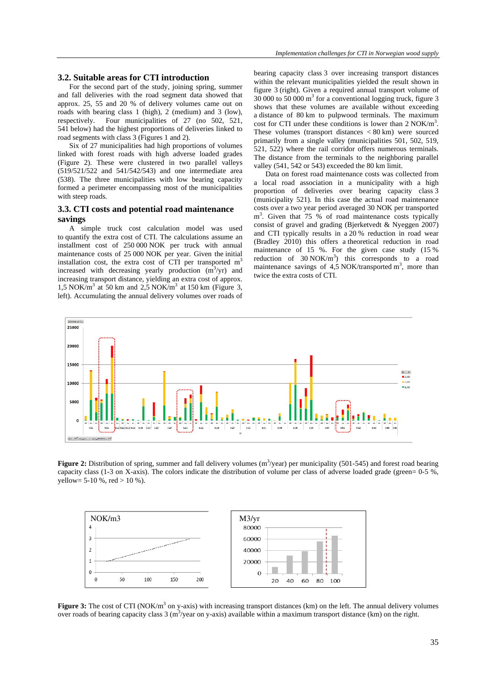## **3.2. Suitable areas for CTI introduction**

For the second part of the study, joining spring, summer and fall deliveries with the road segment data showed that approx. 25, 55 and 20 % of delivery volumes came out on roads with bearing class 1 (high), 2 (medium) and 3 (low), respectively. Four municipalities of 27 (no 502, 521, 541 below) had the highest proportions of deliveries linked to road segments with class 3 (Figures 1 and 2).

Six of 27 municipalities had high proportions of volumes linked with forest roads with high adverse loaded grades (Figure 2). These were clustered in two parallel valleys (519/521/522 and 541/542/543) and one intermediate area (538). The three municipalities with low bearing capacity formed a perimeter encompassing most of the municipalities with steep roads.

## **3.3. CTI costs and potential road maintenance savings**

A simple truck cost calculation model was used to quantify the extra cost of CTI. The calculations assume an installment cost of 250 000 NOK per truck with annual maintenance costs of 25 000 NOK per year. Given the initial installation cost, the extra cost of CTI per transported  $m<sup>3</sup>$ increased with decreasing yearly production  $(m^3$ /yr) and increasing transport distance, yielding an extra cost of approx.  $1,5$  NOK/m<sup>3</sup> at 50 km and 2,5 NOK/m<sup>3</sup> at 150 km (Figure 3, left). Accumulating the annual delivery volumes over roads of bearing capacity class 3 over increasing transport distances within the relevant municipalities yielded the result shown in figure 3 (right). Given a required annual transport volume of 30 000 to 50 000 m3 for a conventional logging truck, figure 3 shows that these volumes are available without exceeding a distance of 80 km to pulpwood terminals. The maximum cost for CTI under these conditions is lower than 2 NOK/m<sup>3</sup>. These volumes (transport distances < 80 km) were sourced primarily from a single valley (municipalities 501, 502, 519, 521, 522) where the rail corridor offers numerous terminals. The distance from the terminals to the neighboring parallel valley (541, 542 or 543) exceeded the 80 km limit.

Data on forest road maintenance costs was collected from a local road association in a municipality with a high proportion of deliveries over bearing capacity class 3 (municipality 521). In this case the actual road maintenance costs over a two year period averaged 30 NOK per transported m<sup>3</sup>. Given that 75 % of road maintenance costs typically consist of gravel and grading (Bjerketvedt & Nyeggen 2007) and CTI typically results in a 20 % reduction in road wear (Bradley 2010) this offers a theoretical reduction in road maintenance of 15 %. For the given case study (15 % reduction of  $30 \text{ NOK/m}^3$  this corresponds to a road maintenance savings of  $4,5$  NOK/transported m<sup>3</sup>, more than twice the extra costs of CTI.



**Figure 2:** Distribution of spring, summer and fall delivery volumes  $(m^3$ /year) per municipality (501-545) and forest road bearing capacity class (1-3 on X-axis). The colors indicate the distribution of volume per class of adverse loaded grade (green= 0-5 %, yellow= 5-10 %, red  $> 10$  %).



**Figure 3:** The cost of CTI (NOK/m<sup>3</sup> on y-axis) with increasing transport distances (km) on the left. The annual delivery volumes over roads of bearing capacity class 3 (m<sup>3</sup>/year on y-axis) available within a maximum transport distance (km) on the right.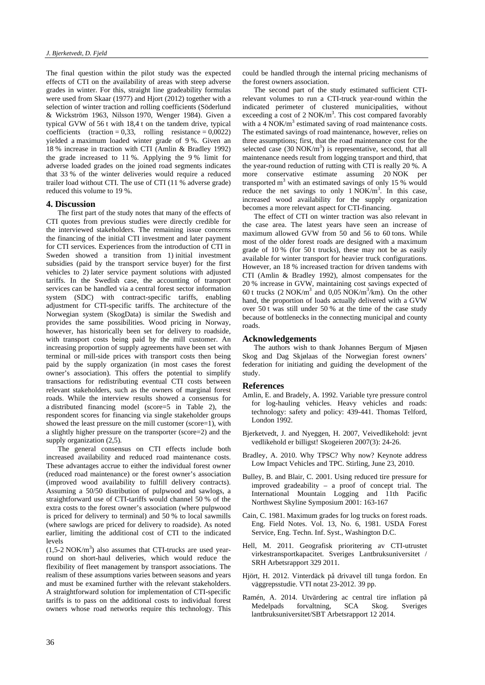The final question within the pilot study was the expected effects of CTI on the availability of areas with steep adverse grades in winter. For this, straight line gradeability formulas were used from Skaar (1977) and Hiort (2012) together with a selection of winter traction and rolling coefficients (Söderlund & Wickström 1963, Nilsson 1970, Wenger 1984). Given a typical GVW of 56 t with 18,4 t on the tandem drive, typical coefficients (traction =  $0.33$ , rolling resistance =  $0.0022$ ) yielded a maximum loaded winter grade of 9 %. Given an 18 % increase in traction with CTI (Amlin & Bradley 1992) the grade increased to 11 %. Applying the 9 % limit for adverse loaded grades on the joined road segments indicates that 33 % of the winter deliveries would require a reduced trailer load without CTI. The use of CTI (11 % adverse grade) reduced this volume to 19 %.

#### **4. Discussion**

The first part of the study notes that many of the effects of CTI quotes from previous studies were directly credible for the interviewed stakeholders. The remaining issue concerns the financing of the initial CTI investment and later payment for CTI services. Experiences from the introduction of CTI in Sweden showed a transition from 1) initial investment subsidies (paid by the transport service buyer) for the first vehicles to 2) later service payment solutions with adjusted tariffs. In the Swedish case, the accounting of transport services can be handled via a central forest sector information system (SDC) with contract-specific tariffs, enabling adjustment for CTI-specific tariffs. The architecture of the Norwegian system (SkogData) is similar the Swedish and provides the same possibilities. Wood pricing in Norway, however, has historically been set for delivery to roadside, with transport costs being paid by the mill customer. An increasing proportion of supply agreements have been set with terminal or mill-side prices with transport costs then being paid by the supply organization (in most cases the forest owner's association). This offers the potential to simplify transactions for redistributing eventual CTI costs between relevant stakeholders, such as the owners of marginal forest roads. While the interview results showed a consensus for a distributed financing model (score=5 in Table 2), the respondent scores for financing via single stakeholder groups showed the least pressure on the mill customer (score=1), with a slightly higher pressure on the transporter (score=2) and the supply organization (2,5).

The general consensus on CTI effects include both increased availability and reduced road maintenance costs. These advantages accrue to either the individual forest owner (reduced road maintenance) or the forest owner's association (improved wood availability to fulfill delivery contracts). Assuming a 50/50 distribution of pulpwood and sawlogs, a straightforward use of CTI-tariffs would channel 50 % of the extra costs to the forest owner's association (where pulpwood is priced for delivery to terminal) and 50 % to local sawmills (where sawlogs are priced for delivery to roadside). As noted earlier, limiting the additional cost of CTI to the indicated levels

 $(1,5$ -2 NOK/m<sup>3</sup>) also assumes that CTI-trucks are used yearround on short-haul deliveries, which would reduce the flexibility of fleet management by transport associations. The realism of these assumptions varies between seasons and years and must be examined further with the relevant stakeholders. A straightforward solution for implementation of CTI-specific tariffs is to pass on the additional costs to individual forest owners whose road networks require this technology. This could be handled through the internal pricing mechanisms of the forest owners association.

The second part of the study estimated sufficient CTIrelevant volumes to run a CTI-truck year-round within the indicated perimeter of clustered municipalities, without exceeding a cost of  $2 \text{ NOK/m}^3$ . This cost compared favorably with a  $4 \text{ NOK/m}^3$  estimated saving of road maintenance costs. The estimated savings of road maintenance, however, relies on three assumptions; first, that the road maintenance cost for the selected case  $(30 \text{ NOK/m}^3)$  is representative, second, that all maintenance needs result from logging transport and third, that the year-round reduction of rutting with CTI is really 20 %. A more conservative estimate assuming 20 NOK per transported  $m<sup>3</sup>$  with an estimated savings of only 15 % would reduce the net savings to only  $1$  NOK/m<sup>3</sup>. In this case, increased wood availability for the supply organization becomes a more relevant aspect for CTI-financing.

The effect of CTI on winter traction was also relevant in the case area. The latest years have seen an increase of maximum allowed GVW from 50 and 56 to 60 tons. While most of the older forest roads are designed with a maximum grade of 10 % (for 50 t trucks), these may not be as easily available for winter transport for heavier truck configurations. However, an 18 % increased traction for driven tandems with CTI (Amlin & Bradley 1992), almost compensates for the 20 % increase in GVW, maintaining cost savings expected of 60 t trucks  $(2 \text{ NOK/m}^3 \text{ and } 0.05 \text{ NOK/m}^3/\text{km})$ . On the other hand, the proportion of loads actually delivered with a GVW over 50 t was still under 50 % at the time of the case study because of bottlenecks in the connecting municipal and county roads.

#### **Acknowledgements**

The authors wish to thank Johannes Bergum of Mjøsen Skog and Dag Skjølaas of the Norwegian forest owners' federation for initiating and guiding the development of the study.

#### **References**

- Amlin, E. and Bradely, A. 1992. Variable tyre pressure control for log-hauling vehicles. Heavy vehicles and roads: technology: safety and policy: 439-441. Thomas Telford, London 1992.
- Bjerketvedt, J. and Nyeggen, H. 2007, Veivedlikehold: jevnt vedlikehold er billigst! Skogeieren 2007(3): 24-26.
- Bradley, A. 2010. Why TPSC? Why now? Keynote address Low Impact Vehicles and TPC. Stirling, June 23, 2010.
- Bulley, B. and Blair, C. 2001. Using reduced tire pressure for improved gradeability – a proof of concept trial. The International Mountain Logging and 11th Pacific Northwest Skyline Symposium 2001: 163-167
- Cain, C. 1981. Maximum grades for log trucks on forest roads. Eng. Field Notes. Vol. 13, No. 6, 1981. USDA Forest Service, Eng. Techn. Inf. Syst., Washington D.C.
- Hell, M. 2011. Geografisk prioritering av CTI-utrustet virkestransportkapacitet. Sveriges Lantbruksuniversitet / SRH Arbetsrapport 329 2011.
- Hjört, H. 2012. Vinterdäck på drivavel till tunga fordon. En väggrepsstudie. VTI notat 23-2012. 39 pp.
- Ramén, A. 2014. Utvärdering ac central tire inflation på Medelpads forvaltning, SCA Skog. Sveriges lantbruksuniversitet/SBT Arbetsrapport 12 2014.